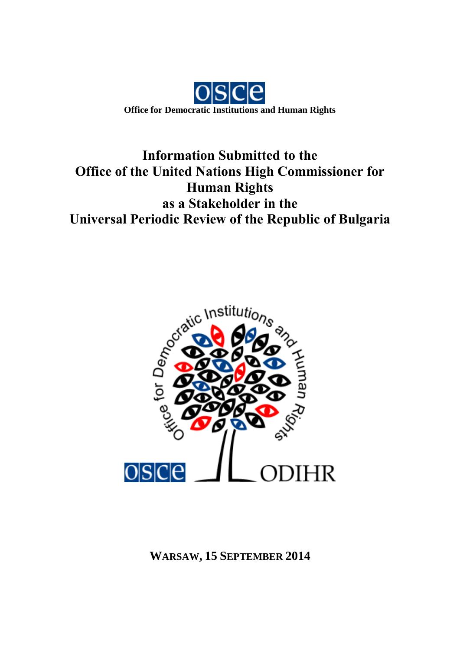

# **Information Submitted to the Office of the United Nations High Commissioner for Human Rights as a Stakeholder in the Universal Periodic Review of the Republic of Bulgaria**



**WARSAW, 15 SEPTEMBER 2014**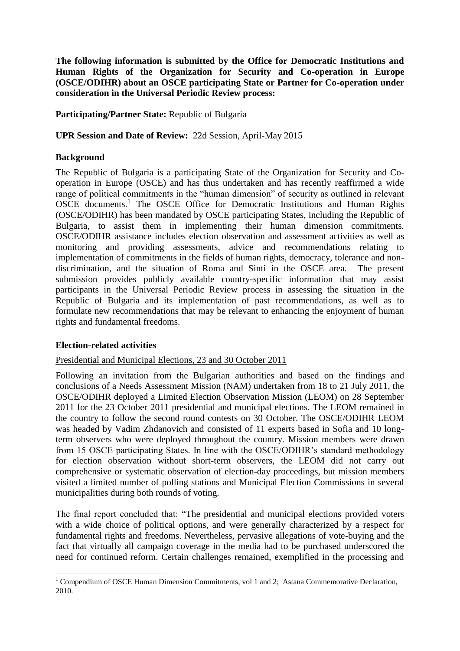**The following information is submitted by the Office for Democratic Institutions and Human Rights of the Organization for Security and Co-operation in Europe (OSCE/ODIHR) about an OSCE participating State or Partner for Co-operation under consideration in the Universal Periodic Review process:**

**Participating/Partner State:** Republic of Bulgaria

**UPR Session and Date of Review:** 22d Session, April-May 2015

## **Background**

The Republic of Bulgaria is a participating State of the Organization for Security and Cooperation in Europe (OSCE) and has thus undertaken and has recently reaffirmed a wide range of political commitments in the "human dimension" of security as outlined in relevant OSCE documents.<sup>1</sup> The OSCE Office for Democratic Institutions and Human Rights (OSCE/ODIHR) has been mandated by OSCE participating States, including the Republic of Bulgaria, to assist them in implementing their human dimension commitments. OSCE/ODIHR assistance includes election observation and assessment activities as well as monitoring and providing assessments, advice and recommendations relating to implementation of commitments in the fields of human rights, democracy, tolerance and nondiscrimination, and the situation of Roma and Sinti in the OSCE area. The present submission provides publicly available country-specific information that may assist participants in the Universal Periodic Review process in assessing the situation in the Republic of Bulgaria and its implementation of past recommendations, as well as to formulate new recommendations that may be relevant to enhancing the enjoyment of human rights and fundamental freedoms.

#### **Election-related activities**

#### Presidential and Municipal Elections, 23 and 30 October 2011

Following an invitation from the Bulgarian authorities and based on the findings and conclusions of a Needs Assessment Mission (NAM) undertaken from 18 to 21 July 2011, the OSCE/ODIHR deployed a Limited Election Observation Mission (LEOM) on 28 September 2011 for the 23 October 2011 presidential and municipal elections. The LEOM remained in the country to follow the second round contests on 30 October. The OSCE/ODIHR LEOM was headed by Vadim Zhdanovich and consisted of 11 experts based in Sofia and 10 longterm observers who were deployed throughout the country. Mission members were drawn from 15 OSCE participating States. In line with the OSCE/ODIHR's standard methodology for election observation without short-term observers, the LEOM did not carry out comprehensive or systematic observation of election-day proceedings, but mission members visited a limited number of polling stations and Municipal Election Commissions in several municipalities during both rounds of voting.

The final report concluded that: "The presidential and municipal elections provided voters with a wide choice of political options, and were generally characterized by a respect for fundamental rights and freedoms. Nevertheless, pervasive allegations of vote-buying and the fact that virtually all campaign coverage in the media had to be purchased underscored the need for continued reform. Certain challenges remained, exemplified in the processing and

<sup>1</sup> <sup>1</sup> Compendium of OSCE Human Dimension Commitments, vol 1 and 2; Astana Commemorative Declaration, 2010.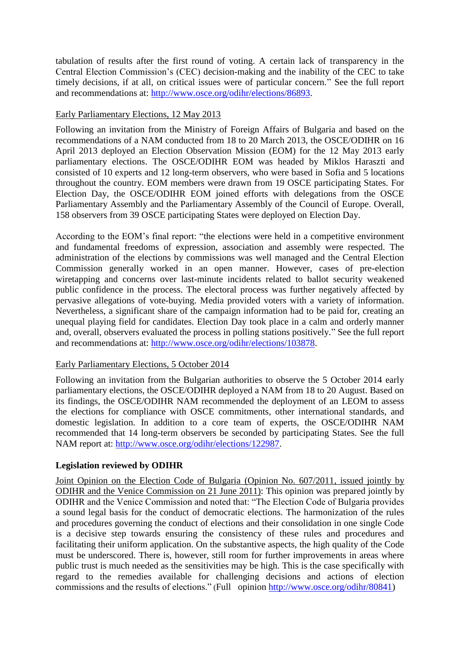tabulation of results after the first round of voting. A certain lack of transparency in the Central Election Commission's (CEC) decision-making and the inability of the CEC to take timely decisions, if at all, on critical issues were of particular concern." See the full report and recommendations at: [http://www.osce.org/odihr/elections/86893.](http://www.osce.org/odihr/elections/86893)

## Early Parliamentary Elections, 12 May 2013

Following an invitation from the Ministry of Foreign Affairs of Bulgaria and based on the recommendations of a NAM conducted from 18 to 20 March 2013, the OSCE/ODIHR on 16 April 2013 deployed an Election Observation Mission (EOM) for the 12 May 2013 early parliamentary elections. The OSCE/ODIHR EOM was headed by Miklos Haraszti and consisted of 10 experts and 12 long-term observers, who were based in Sofia and 5 locations throughout the country. EOM members were drawn from 19 OSCE participating States. For Election Day, the OSCE/ODIHR EOM joined efforts with delegations from the OSCE Parliamentary Assembly and the Parliamentary Assembly of the Council of Europe. Overall, 158 observers from 39 OSCE participating States were deployed on Election Day.

According to the EOM's final report: "the elections were held in a competitive environment and fundamental freedoms of expression, association and assembly were respected. The administration of the elections by commissions was well managed and the Central Election Commission generally worked in an open manner. However, cases of pre-election wiretapping and concerns over last-minute incidents related to ballot security weakened public confidence in the process. The electoral process was further negatively affected by pervasive allegations of vote-buying. Media provided voters with a variety of information. Nevertheless, a significant share of the campaign information had to be paid for, creating an unequal playing field for candidates. Election Day took place in a calm and orderly manner and, overall, observers evaluated the process in polling stations positively." See the full report and recommendations at: [http://www.osce.org/odihr/elections/103878.](http://www.osce.org/odihr/elections/103878)

# Early Parliamentary Elections, 5 October 2014

Following an invitation from the Bulgarian authorities to observe the 5 October 2014 early parliamentary elections, the OSCE/ODIHR deployed a NAM from 18 to 20 August. Based on its findings, the OSCE/ODIHR NAM recommended the deployment of an LEOM to assess the elections for compliance with OSCE commitments, other international standards, and domestic legislation. In addition to a core team of experts, the OSCE/ODIHR NAM recommended that 14 long-term observers be seconded by participating States. See the full NAM report at: [http://www.osce.org/odihr/elections/122987.](http://www.osce.org/odihr/elections/122987)

# **Legislation reviewed by ODIHR**

Joint Opinion on the Election Code of Bulgaria (Opinion No. 607/2011, issued jointly by ODIHR and the Venice Commission on 21 June 2011): This opinion was prepared jointly by ODIHR and the Venice Commission and noted that: "The Election Code of Bulgaria provides a sound legal basis for the conduct of democratic elections. The harmonization of the rules and procedures governing the conduct of elections and their consolidation in one single Code is a decisive step towards ensuring the consistency of these rules and procedures and facilitating their uniform application. On the substantive aspects, the high quality of the Code must be underscored. There is, however, still room for further improvements in areas where public trust is much needed as the sensitivities may be high. This is the case specifically with regard to the remedies available for challenging decisions and actions of election commissions and the results of elections." (Full opinion [http://www.osce.org/odihr/80841\)](http://www.osce.org/odihr/80841)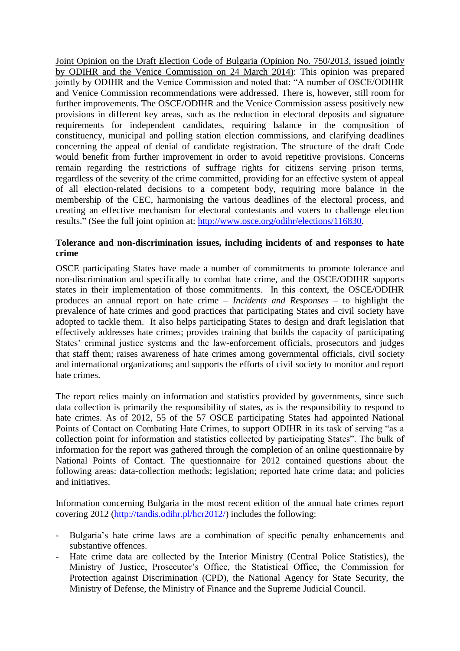Joint Opinion on the Draft Election Code of Bulgaria (Opinion No. 750/2013, issued jointly by ODIHR and the Venice Commission on 24 March 2014): This opinion was prepared jointly by ODIHR and the Venice Commission and noted that: "A number of OSCE/ODIHR and Venice Commission recommendations were addressed. There is, however, still room for further improvements. The OSCE/ODIHR and the Venice Commission assess positively new provisions in different key areas, such as the reduction in electoral deposits and signature requirements for independent candidates, requiring balance in the composition of constituency, municipal and polling station election commissions, and clarifying deadlines concerning the appeal of denial of candidate registration. The structure of the draft Code would benefit from further improvement in order to avoid repetitive provisions. Concerns remain regarding the restrictions of suffrage rights for citizens serving prison terms, regardless of the severity of the crime committed, providing for an effective system of appeal of all election-related decisions to a competent body, requiring more balance in the membership of the CEC, harmonising the various deadlines of the electoral process, and creating an effective mechanism for electoral contestants and voters to challenge election results." (See the full joint opinion at: [http://www.osce.org/odihr/elections/116830.](http://www.osce.org/odihr/elections/116830)

## **Tolerance and non-discrimination issues, including incidents of and responses to hate crime**

OSCE participating States have made a number of commitments to promote tolerance and non-discrimination and specifically to combat hate crime, and the OSCE/ODIHR supports states in their implementation of those commitments. In this context, the OSCE/ODIHR produces an annual report on hate crime – *Incidents and Responses* – to highlight the prevalence of hate crimes and good practices that participating States and civil society have adopted to tackle them. It also helps participating States to design and draft legislation that effectively addresses hate crimes; provides training that builds the capacity of participating States' criminal justice systems and the law-enforcement officials, prosecutors and judges that staff them; raises awareness of hate crimes among governmental officials, civil society and international organizations; and supports the efforts of civil society to monitor and report hate crimes.

The report relies mainly on information and statistics provided by governments, since such data collection is primarily the responsibility of states, as is the responsibility to respond to hate crimes. As of 2012, 55 of the 57 OSCE participating States had appointed National Points of Contact on Combating Hate Crimes, to support ODIHR in its task of serving "as a collection point for information and statistics collected by participating States". The bulk of information for the report was gathered through the completion of an online questionnaire by National Points of Contact. The questionnaire for 2012 contained questions about the following areas: data-collection methods; legislation; reported hate crime data; and policies and initiatives.

Information concerning Bulgaria in the most recent edition of the annual hate crimes report covering 2012 [\(http://tandis.odihr.pl/hcr2012/\)](http://tandis.odihr.pl/hcr2012/) includes the following:

- Bulgaria's hate crime laws are a combination of specific penalty enhancements and substantive offences.
- Hate crime data are collected by the Interior Ministry (Central Police Statistics), the Ministry of Justice, Prosecutor's Office, the Statistical Office, the Commission for Protection against Discrimination (CPD), the National Agency for State Security, the Ministry of Defense, the Ministry of Finance and the Supreme Judicial Council.